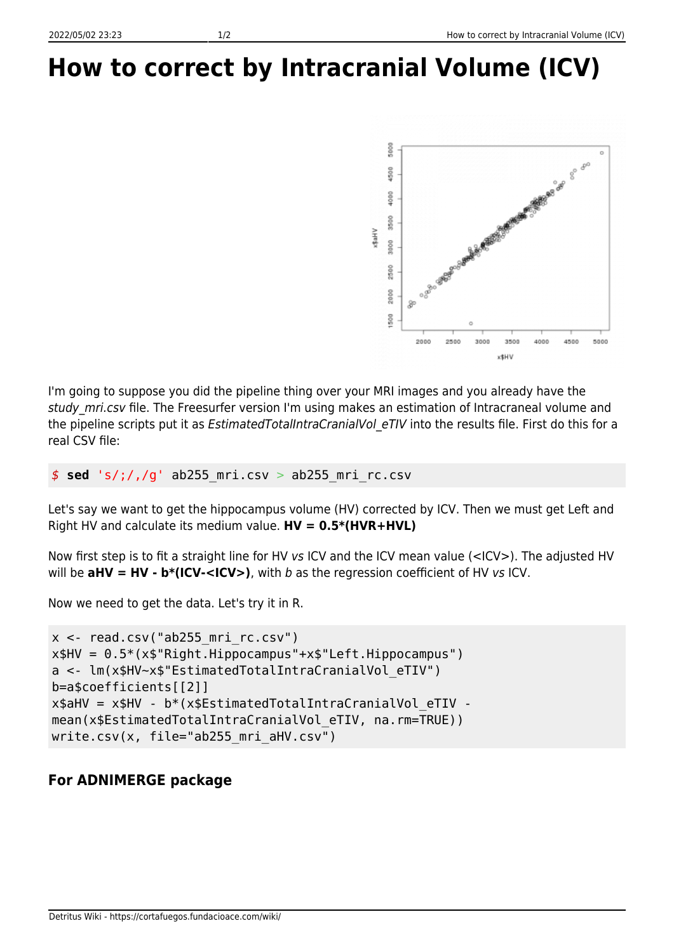## **How to correct by Intracranial Volume (ICV)**



I'm going to suppose you did the pipeline thing over your MRI images and you already have the study mri.csv file. The Freesurfer version I'm using makes an estimation of Intracraneal volume and the pipeline scripts put it as *EstimatedTotalIntraCranialVol eTIV* into the results file. First do this for a real CSV file:

*\$* **sed** 's/;/,/g' ab255\_mri.csv > ab255\_mri\_rc.csv

Let's say we want to get the hippocampus volume (HV) corrected by ICV. Then we must get Left and Right HV and calculate its medium value. **HV = 0.5\*(HVR+HVL)**

Now first step is to fit a straight line for HV vs ICV and the ICV mean value (<ICV>). The adjusted HV will be  $a$ HV = HV -  $b^*(ICV - , with b as the regression coefficient of HV vs ICV.$ 

Now we need to get the data. Let's try it in R.

```
x < - read.csv("ab255 mri rc.csv")
x$HV = 0.5*(x$"Right.Hippocampus"+x$"Left.Hippocampus")a <- lm(x$HV~x$"EstimatedTotalIntraCranialVol_eTIV")
b=a$coefficients[[2]]
x$aHV = x$HV - b^*(x)$EstimatedTotalIntraCranialVol eTIV -
mean(x$EstimatedTotalIntraCranialVol eTIV, na.rm=TRUE))
write.csv(x, file="ab255 mri aHV.csv")
```
## **For ADNIMERGE package**